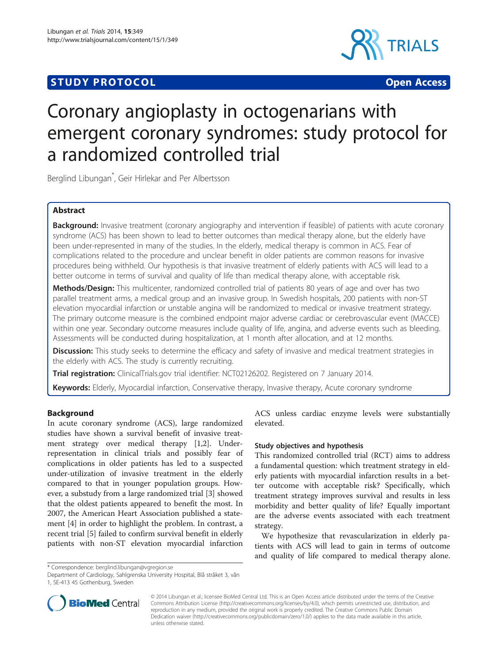## **STUDY PROTOCOL CONSUMING THE CONSUMING TO A RESISTING THE CONSUMING TO A RESISTING TO A RESISTING TO A RESISTING TO A RESISTING TO A RESISTING TO A RESISTING TO A RESISTING TO A RESISTING TO A RESISTING TO A RESISTING T**



# Coronary angioplasty in octogenarians with emergent coronary syndromes: study protocol for a randomized controlled trial

Berglind Libungan\* , Geir Hirlekar and Per Albertsson

## Abstract

Background: Invasive treatment (coronary angiography and intervention if feasible) of patients with acute coronary syndrome (ACS) has been shown to lead to better outcomes than medical therapy alone, but the elderly have been under-represented in many of the studies. In the elderly, medical therapy is common in ACS. Fear of complications related to the procedure and unclear benefit in older patients are common reasons for invasive procedures being withheld. Our hypothesis is that invasive treatment of elderly patients with ACS will lead to a better outcome in terms of survival and quality of life than medical therapy alone, with acceptable risk.

Methods/Design: This multicenter, randomized controlled trial of patients 80 years of age and over has two parallel treatment arms, a medical group and an invasive group. In Swedish hospitals, 200 patients with non-ST elevation myocardial infarction or unstable angina will be randomized to medical or invasive treatment strategy. The primary outcome measure is the combined endpoint major adverse cardiac or cerebrovascular event (MACCE) within one year. Secondary outcome measures include quality of life, angina, and adverse events such as bleeding. Assessments will be conducted during hospitalization, at 1 month after allocation, and at 12 months.

**Discussion:** This study seeks to determine the efficacy and safety of invasive and medical treatment strategies in the elderly with ACS. The study is currently recruiting.

**Trial registration:** ClinicalTrials.gov trial identifier: [NCT02126202.](https://clinicaltrials.gov/ct2/show/NCT02126202?term=80%2B&rank=1) Registered on 7 January 2014.

Keywords: Elderly, Myocardial infarction, Conservative therapy, Invasive therapy, Acute coronary syndrome

## Background

In acute coronary syndrome (ACS), large randomized studies have shown a survival benefit of invasive treatment strategy over medical therapy [[1](#page-3-0),[2](#page-3-0)]. Underrepresentation in clinical trials and possibly fear of complications in older patients has led to a suspected under-utilization of invasive treatment in the elderly compared to that in younger population groups. However, a substudy from a large randomized trial [\[3](#page-3-0)] showed that the oldest patients appeared to benefit the most. In 2007, the American Heart Association published a statement [[4\]](#page-4-0) in order to highlight the problem. In contrast, a recent trial [\[5\]](#page-4-0) failed to confirm survival benefit in elderly patients with non-ST elevation myocardial infarction

ACS unless cardiac enzyme levels were substantially elevated.

## Study objectives and hypothesis

This randomized controlled trial (RCT) aims to address a fundamental question: which treatment strategy in elderly patients with myocardial infarction results in a better outcome with acceptable risk? Specifically, which treatment strategy improves survival and results in less morbidity and better quality of life? Equally important are the adverse events associated with each treatment strategy.

We hypothesize that revascularization in elderly patients with ACS will lead to gain in terms of outcome and quality of life compared to medical therapy alone.

Department of Cardiology, Sahlgrenska University Hospital, Blå stråket 3, vån 1, SE-413 45 Gothenburg, Sweden



© 2014 Libungan et al.; licensee BioMed Central Ltd. This is an Open Access article distributed under the terms of the Creative Commons Attribution License [\(http://creativecommons.org/licenses/by/4.0\)](http://creativecommons.org/licenses/by/4.0), which permits unrestricted use, distribution, and reproduction in any medium, provided the original work is properly credited. The Creative Commons Public Domain Dedication waiver [\(http://creativecommons.org/publicdomain/zero/1.0/](http://creativecommons.org/publicdomain/zero/1.0/)) applies to the data made available in this article, unless otherwise stated.

<sup>\*</sup> Correspondence: [berglind.libungan@vgregion.se](mailto:berglind.libungan@vgregion.se)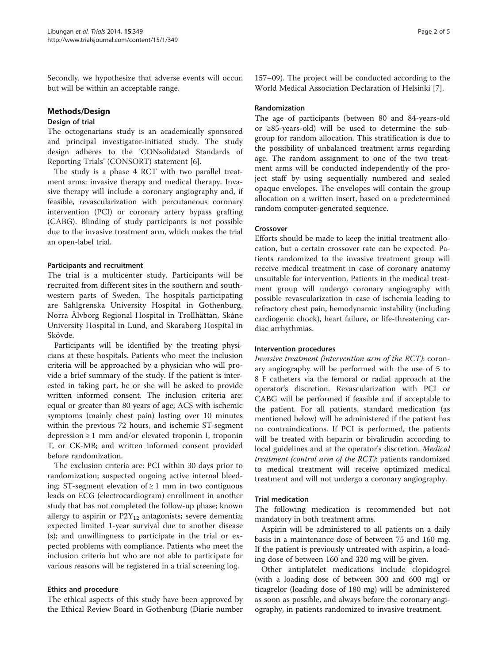Secondly, we hypothesize that adverse events will occur, but will be within an acceptable range.

## Methods/Design

#### Design of trial

The octogenarians study is an academically sponsored and principal investigator-initiated study. The study design adheres to the 'CONsolidated Standards of Reporting Trials' (CONSORT) statement [[6\]](#page-4-0).

The study is a phase 4 RCT with two parallel treatment arms: invasive therapy and medical therapy. Invasive therapy will include a coronary angiography and, if feasible, revascularization with percutaneous coronary intervention (PCI) or coronary artery bypass grafting (CABG). Blinding of study participants is not possible due to the invasive treatment arm, which makes the trial an open-label trial.

## Participants and recruitment

The trial is a multicenter study. Participants will be recruited from different sites in the southern and southwestern parts of Sweden. The hospitals participating are Sahlgrenska University Hospital in Gothenburg, Norra Älvborg Regional Hospital in Trollhättan, Skåne University Hospital in Lund, and Skaraborg Hospital in Skövde.

Participants will be identified by the treating physicians at these hospitals. Patients who meet the inclusion criteria will be approached by a physician who will provide a brief summary of the study. If the patient is interested in taking part, he or she will be asked to provide written informed consent. The inclusion criteria are: equal or greater than 80 years of age; ACS with ischemic symptoms (mainly chest pain) lasting over 10 minutes within the previous 72 hours, and ischemic ST-segment depression ≥ 1 mm and/or elevated troponin I, troponin T, or CK-MB; and written informed consent provided before randomization.

The exclusion criteria are: PCI within 30 days prior to randomization; suspected ongoing active internal bleeding; ST-segment elevation of  $\geq 1$  mm in two contiguous leads on ECG (electrocardiogram) enrollment in another study that has not completed the follow-up phase; known allergy to aspirin or  $P2Y_{12}$  antagonists; severe dementia; expected limited 1-year survival due to another disease (s); and unwillingness to participate in the trial or expected problems with compliance. Patients who meet the inclusion criteria but who are not able to participate for various reasons will be registered in a trial screening log.

## Ethics and procedure

The ethical aspects of this study have been approved by the Ethical Review Board in Gothenburg (Diarie number 157–09). The project will be conducted according to the World Medical Association Declaration of Helsinki [\[7\]](#page-4-0).

#### Randomization

The age of participants (between 80 and 84-years-old or ≥85-years-old) will be used to determine the subgroup for random allocation. This stratification is due to the possibility of unbalanced treatment arms regarding age. The random assignment to one of the two treatment arms will be conducted independently of the project staff by using sequentially numbered and sealed opaque envelopes. The envelopes will contain the group allocation on a written insert, based on a predetermined random computer-generated sequence.

#### Crossover

Efforts should be made to keep the initial treatment allocation, but a certain crossover rate can be expected. Patients randomized to the invasive treatment group will receive medical treatment in case of coronary anatomy unsuitable for intervention. Patients in the medical treatment group will undergo coronary angiography with possible revascularization in case of ischemia leading to refractory chest pain, hemodynamic instability (including cardiogenic chock), heart failure, or life-threatening cardiac arrhythmias.

#### Intervention procedures

Invasive treatment (intervention arm of the RCT): coronary angiography will be performed with the use of 5 to 8 F catheters via the femoral or radial approach at the operator's discretion. Revascularization with PCI or CABG will be performed if feasible and if acceptable to the patient. For all patients, standard medication (as mentioned below) will be administered if the patient has no contraindications. If PCI is performed, the patients will be treated with heparin or bivalirudin according to local guidelines and at the operator's discretion. Medical treatment (control arm of the RCT): patients randomized to medical treatment will receive optimized medical treatment and will not undergo a coronary angiography.

## Trial medication

The following medication is recommended but not mandatory in both treatment arms.

Aspirin will be administered to all patients on a daily basis in a maintenance dose of between 75 and 160 mg. If the patient is previously untreated with aspirin, a loading dose of between 160 and 320 mg will be given.

Other antiplatelet medications include clopidogrel (with a loading dose of between 300 and 600 mg) or ticagrelor (loading dose of 180 mg) will be administered as soon as possible, and always before the coronary angiography, in patients randomized to invasive treatment.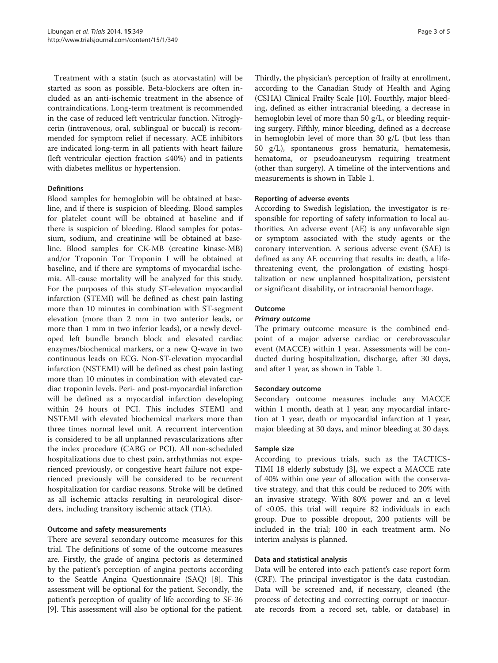Treatment with a statin (such as atorvastatin) will be started as soon as possible. Beta-blockers are often included as an anti-ischemic treatment in the absence of contraindications. Long-term treatment is recommended in the case of reduced left ventricular function. Nitroglycerin (intravenous, oral, sublingual or buccal) is recommended for symptom relief if necessary. ACE inhibitors are indicated long-term in all patients with heart failure (left ventricular ejection fraction ≤40%) and in patients with diabetes mellitus or hypertension.

## Definitions

Blood samples for hemoglobin will be obtained at baseline, and if there is suspicion of bleeding. Blood samples for platelet count will be obtained at baseline and if there is suspicion of bleeding. Blood samples for potassium, sodium, and creatinine will be obtained at baseline. Blood samples for CK-MB (creatine kinase-MB) and/or Troponin Tor Troponin I will be obtained at baseline, and if there are symptoms of myocardial ischemia. All-cause mortality will be analyzed for this study. For the purposes of this study ST-elevation myocardial infarction (STEMI) will be defined as chest pain lasting more than 10 minutes in combination with ST-segment elevation (more than 2 mm in two anterior leads, or more than 1 mm in two inferior leads), or a newly developed left bundle branch block and elevated cardiac enzymes/biochemical markers, or a new Q-wave in two continuous leads on ECG. Non-ST-elevation myocardial infarction (NSTEMI) will be defined as chest pain lasting more than 10 minutes in combination with elevated cardiac troponin levels. Peri- and post-myocardial infarction will be defined as a myocardial infarction developing within 24 hours of PCI. This includes STEMI and NSTEMI with elevated biochemical markers more than three times normal level unit. A recurrent intervention is considered to be all unplanned revascularizations after the index procedure (CABG or PCI). All non-scheduled hospitalizations due to chest pain, arrhythmias not experienced previously, or congestive heart failure not experienced previously will be considered to be recurrent hospitalization for cardiac reasons. Stroke will be defined as all ischemic attacks resulting in neurological disorders, including transitory ischemic attack (TIA).

## Outcome and safety measurements

There are several secondary outcome measures for this trial. The definitions of some of the outcome measures are. Firstly, the grade of angina pectoris as determined by the patient's perception of angina pectoris according to the Seattle Angina Questionnaire (SAQ) [\[8](#page-4-0)]. This assessment will be optional for the patient. Secondly, the patient's perception of quality of life according to SF-36 [[9\]](#page-4-0). This assessment will also be optional for the patient.

Thirdly, the physician's perception of frailty at enrollment, according to the Canadian Study of Health and Aging (CSHA) Clinical Frailty Scale [[10](#page-4-0)]. Fourthly, major bleeding, defined as either intracranial bleeding, a decrease in hemoglobin level of more than 50 g/L, or bleeding requiring surgery. Fifthly, minor bleeding, defined as a decrease in hemoglobin level of more than 30 g/L (but less than 50 g/L), spontaneous gross hematuria, hematemesis, hematoma, or pseudoaneurysm requiring treatment (other than surgery). A timeline of the interventions and measurements is shown in Table [1](#page-3-0).

## Reporting of adverse events

According to Swedish legislation, the investigator is responsible for reporting of safety information to local authorities. An adverse event (AE) is any unfavorable sign or symptom associated with the study agents or the coronary intervention. A serious adverse event (SAE) is defined as any AE occurring that results in: death, a lifethreatening event, the prolongation of existing hospitalization or new unplanned hospitalization, persistent or significant disability, or intracranial hemorrhage.

## **Outcome**

## Primary outcome

The primary outcome measure is the combined endpoint of a major adverse cardiac or cerebrovascular event (MACCE) within 1 year. Assessments will be conducted during hospitalization, discharge, after 30 days, and after 1 year, as shown in Table [1.](#page-3-0)

## Secondary outcome

Secondary outcome measures include: any MACCE within 1 month, death at 1 year, any myocardial infarction at 1 year, death or myocardial infarction at 1 year, major bleeding at 30 days, and minor bleeding at 30 days.

## Sample size

According to previous trials, such as the TACTICS-TIMI 18 elderly substudy [[3\]](#page-3-0), we expect a MACCE rate of 40% within one year of allocation with the conservative strategy, and that this could be reduced to 20% with an invasive strategy. With 80% power and an α level of <0.05, this trial will require 82 individuals in each group. Due to possible dropout, 200 patients will be included in the trial; 100 in each treatment arm. No interim analysis is planned.

## Data and statistical analysis

Data will be entered into each patient's case report form (CRF). The principal investigator is the data custodian. Data will be screened and, if necessary, cleaned (the process of detecting and correcting corrupt or inaccurate records from a record set, table, or database) in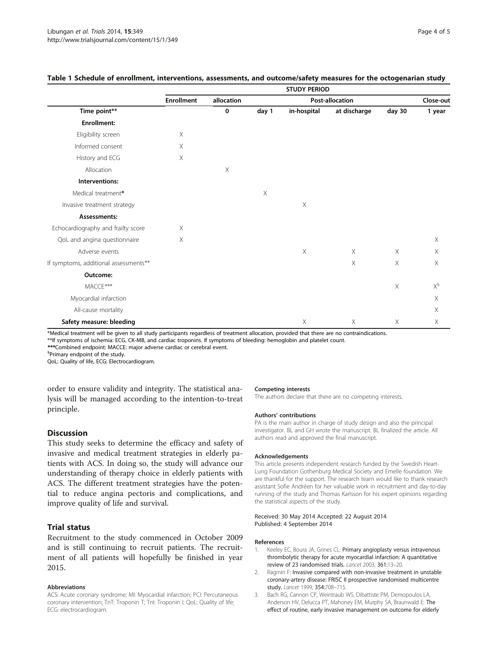|                                       | <b>STUDY PERIOD</b> |            |                        |             |              |          |           |
|---------------------------------------|---------------------|------------|------------------------|-------------|--------------|----------|-----------|
| Time point**                          | <b>Enrollment</b>   | allocation | <b>Post-allocation</b> |             |              |          | Close-out |
|                                       |                     | 0          | day 1                  | in-hospital | at discharge | day 30   | 1 year    |
| <b>Enrollment:</b>                    |                     |            |                        |             |              |          |           |
| Eligibility screen                    | X                   |            |                        |             |              |          |           |
| Informed consent                      | $\times$            |            |                        |             |              |          |           |
| History and ECG                       | $\times$            |            |                        |             |              |          |           |
| Allocation                            |                     | $\times$   |                        |             |              |          |           |
| Interventions:                        |                     |            |                        |             |              |          |           |
| Medical treatment*                    |                     |            | $\times$               |             |              |          |           |
| Invasive treatment strategy           |                     |            |                        | X           |              |          |           |
| Assessments:                          |                     |            |                        |             |              |          |           |
| Echocardiography and frailty score    | X                   |            |                        |             |              |          |           |
| QoL and angina questionnaire          | X                   |            |                        |             |              |          | X         |
| Adverse events                        |                     |            |                        | $\times$    | $\times$     | $\times$ | $\times$  |
| If symptoms, additional assessments** |                     |            |                        |             | $\times$     | $\times$ | $\times$  |
| Outcome:                              |                     |            |                        |             |              |          |           |
| MACCE***                              |                     |            |                        |             |              | $\times$ | $X^{\S}$  |
| Myocardial infarction                 |                     |            |                        |             |              |          | X         |
| All-cause mortality                   |                     |            |                        |             |              |          | $\times$  |
| Safety measure: bleeding              |                     |            |                        | $\times$    | $\times$     | $\times$ | X         |

## <span id="page-3-0"></span>Table 1 Schedule of enrollment, interventions, assessments, and outcome/safety measures for the octogenarian study

\*Medical treatment will be given to all study participants regardless of treatment allocation, provided that there are no contraindications.

\*\*If symptoms of ischemia: ECG, CK-MB, and cardiac troponins. If symptoms of bleeding: hemoglobin and platelet count.

\*\*\*Combined endpoint: MACCE: major adverse cardiac or cerebral event.

<sup>§</sup>Primary endpoint of the study.

QoL: Quality of life, ECG: Electrocardiogram.

order to ensure validity and integrity. The statistical analysis will be managed according to the intention-to-treat principle.

## **Discussion**

This study seeks to determine the efficacy and safety of invasive and medical treatment strategies in elderly patients with ACS. In doing so, the study will advance our understanding of therapy choice in elderly patients with ACS. The different treatment strategies have the potential to reduce angina pectoris and complications, and improve quality of life and survival.

## Trial status

Recruitment to the study commenced in October 2009 and is still continuing to recruit patients. The recruitment of all patients will hopefully be finished in year 2015.

#### Abbreviations

ACS: Acute coronary syndrome; MI: Myocardial infarction; PCI: Percutaneous coronary intervention; TnT: Troponin T; TnI: Troponin I; QoL: Quality of life; ECG: electrocardiogram.

#### Competing interests

The authors declare that there are no competing interests.

#### Authors' contributions

PA is the main author in charge of study design and also the principal investigator. BL and GH wrote the manuscript. BL finalized the article. All authors read and approved the final manuscript.

#### Acknowledgements

This article presents independent research funded by the Swedish Heart-Lung Foundation Gothenburg Medical Society and Emelle foundation. We are thankful for the support. The research team would like to thank research assistant Sofie Andréen for her valuable work in recruitment and day-to-day running of the study and Thomas Karlsson for his expert opinions regarding the statistical aspects of the study.

#### Received: 30 May 2014 Accepted: 22 August 2014 Published: 4 September 2014

#### References

- 1. Keeley EC, Boura JA, Grines CL: Primary angioplasty versus intravenous thrombolytic therapy for acute myocardial infarction: A quantitative review of 23 randomised trials. Lancet 2003, 361:13–20.
- 2. Ragmin F: Invasive compared with non-invasive treatment in unstable coronary-artery disease: FRISC II prospective randomised multicentre study. Lancet 1999, 354:708–715.
- 3. Bach RG, Cannon CP, Weintraub WS, Dibattiste PM, Demopoulos LA, Anderson HV, Delucca PT, Mahoney EM, Murphy SA, Braunwald E: The effect of routine, early invasive management on outcome for elderly